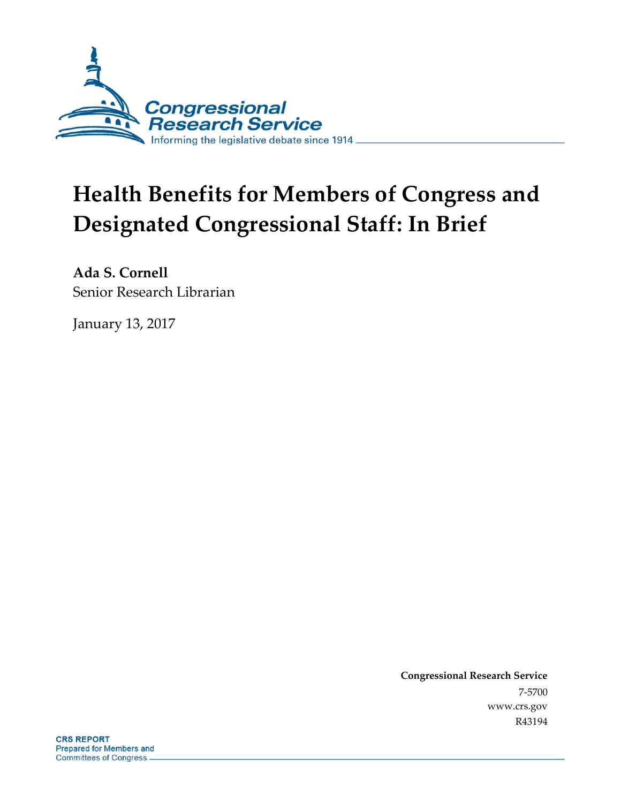

# **Health Benefits for Members of Congress and Designated Congressional Staff: In Brief**

**Ada S. Cornell** Senior Research Librarian

January 13, 2017

**Congressional Research Service** 7-5700 www.crs.gov R43194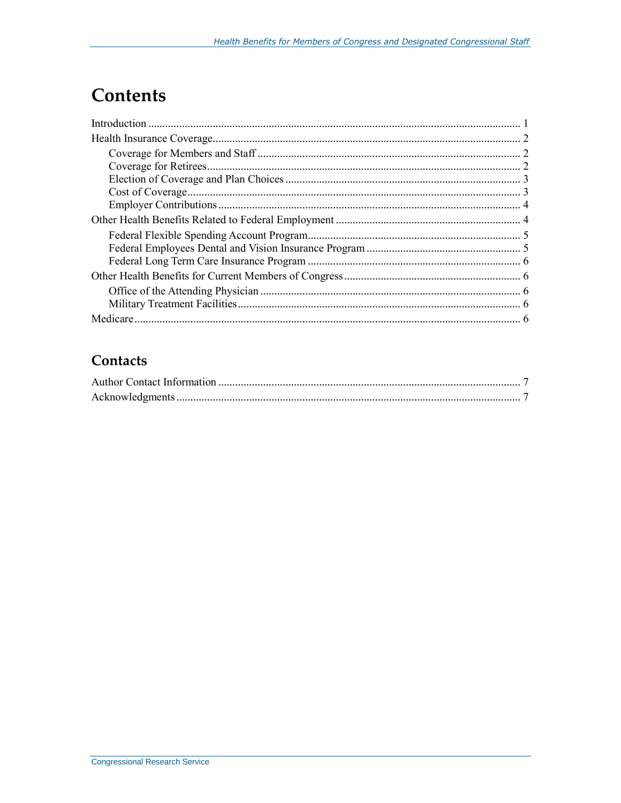### **Contents**

### Contacts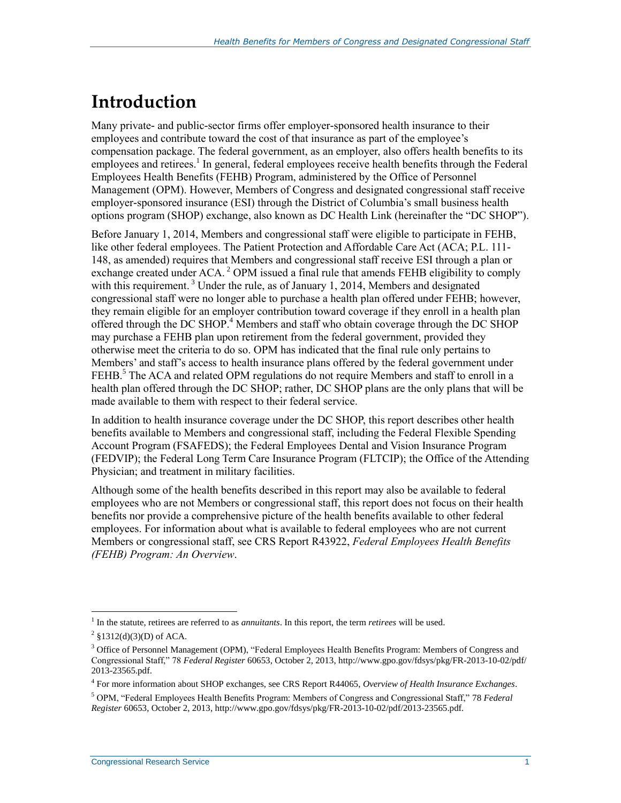### **Introduction**

Many private- and public-sector firms offer employer-sponsored health insurance to their employees and contribute toward the cost of that insurance as part of the employee's compensation package. The federal government, as an employer, also offers health benefits to its employees and retirees.<sup>1</sup> In general, federal employees receive health benefits through the Federal Employees Health Benefits (FEHB) Program, administered by the Office of Personnel Management (OPM). However, Members of Congress and designated congressional staff receive employer-sponsored insurance (ESI) through the District of Columbia's small business health options program (SHOP) exchange, also known as DC Health Link (hereinafter the "DC SHOP").

Before January 1, 2014, Members and congressional staff were eligible to participate in FEHB, like other federal employees. The Patient Protection and Affordable Care Act (ACA; P.L. 111- 148, as amended) requires that Members and congressional staff receive ESI through a plan or exchange created under ACA.<sup>2</sup> OPM issued a final rule that amends FEHB eligibility to comply with this requirement.<sup>3</sup> Under the rule, as of January 1, 2014, Members and designated congressional staff were no longer able to purchase a health plan offered under FEHB; however, they remain eligible for an employer contribution toward coverage if they enroll in a health plan offered through the DC SHOP.<sup>4</sup> Members and staff who obtain coverage through the DC SHOP may purchase a FEHB plan upon retirement from the federal government, provided they otherwise meet the criteria to do so. OPM has indicated that the final rule only pertains to Members' and staff's access to health insurance plans offered by the federal government under FEHB.<sup>5</sup> The ACA and related OPM regulations do not require Members and staff to enroll in a health plan offered through the DC SHOP; rather, DC SHOP plans are the only plans that will be made available to them with respect to their federal service.

In addition to health insurance coverage under the DC SHOP, this report describes other health benefits available to Members and congressional staff, including the Federal Flexible Spending Account Program (FSAFEDS); the Federal Employees Dental and Vision Insurance Program (FEDVIP); the Federal Long Term Care Insurance Program (FLTCIP); the Office of the Attending Physician; and treatment in military facilities.

Although some of the health benefits described in this report may also be available to federal employees who are not Members or congressional staff, this report does not focus on their health benefits nor provide a comprehensive picture of the health benefits available to other federal employees. For information about what is available to federal employees who are not current Members or congressional staff, see CRS Report R43922, *Federal Employees Health Benefits (FEHB) Program: An Overview*.

<sup>1</sup> In the statute, retirees are referred to as *annuitants*. In this report, the term *retirees* will be used.

 $^{2}$  §1312(d)(3)(D) of ACA.

<sup>&</sup>lt;sup>3</sup> Office of Personnel Management (OPM), "Federal Employees Health Benefits Program: Members of Congress and Congressional Staff," 78 *Federal Register* 60653, October 2, 2013, http://www.gpo.gov/fdsys/pkg/FR-2013-10-02/pdf/ 2013-23565.pdf.

<sup>4</sup> For more information about SHOP exchanges, see CRS Report R44065, *Overview of Health Insurance Exchanges*.

<sup>5</sup> OPM, "Federal Employees Health Benefits Program: Members of Congress and Congressional Staff," 78 *Federal Register* 60653, October 2, 2013, http://www.gpo.gov/fdsys/pkg/FR-2013-10-02/pdf/2013-23565.pdf.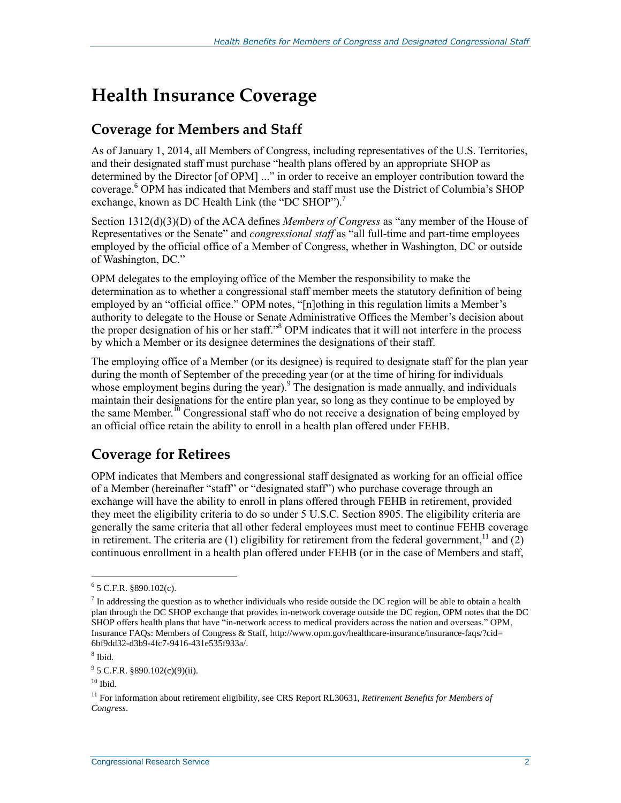### **Health Insurance Coverage**

#### **Coverage for Members and Staff**

As of January 1, 2014, all Members of Congress, including representatives of the U.S. Territories, and their designated staff must purchase "health plans offered by an appropriate SHOP as determined by the Director [of OPM] ..." in order to receive an employer contribution toward the coverage.<sup>6</sup> OPM has indicated that Members and staff must use the District of Columbia's SHOP exchange, known as DC Health Link (the "DC SHOP").<sup>7</sup>

Section 1312(d)(3)(D) of the ACA defines *Members of Congress* as "any member of the House of Representatives or the Senate" and *congressional staff* as "all full-time and part-time employees employed by the official office of a Member of Congress, whether in Washington, DC or outside of Washington, DC."

OPM delegates to the employing office of the Member the responsibility to make the determination as to whether a congressional staff member meets the statutory definition of being employed by an "official office." OPM notes, "[n]othing in this regulation limits a Member's authority to delegate to the House or Senate Administrative Offices the Member's decision about the proper designation of his or her staff."<sup>8</sup> OPM indicates that it will not interfere in the process by which a Member or its designee determines the designations of their staff.

The employing office of a Member (or its designee) is required to designate staff for the plan year during the month of September of the preceding year (or at the time of hiring for individuals whose employment begins during the year).<sup>9</sup> The designation is made annually, and individuals maintain their designations for the entire plan year, so long as they continue to be employed by the same Member.<sup>10</sup> Congressional staff who do not receive a designation of being employed by an official office retain the ability to enroll in a health plan offered under FEHB.

### **Coverage for Retirees**

OPM indicates that Members and congressional staff designated as working for an official office of a Member (hereinafter "staff" or "designated staff") who purchase coverage through an exchange will have the ability to enroll in plans offered through FEHB in retirement, provided they meet the eligibility criteria to do so under 5 U.S.C. Section 8905. The eligibility criteria are generally the same criteria that all other federal employees must meet to continue FEHB coverage in retirement. The criteria are  $(1)$  eligibility for retirement from the federal government,<sup>11</sup> and  $(2)$ continuous enrollment in a health plan offered under FEHB (or in the case of Members and staff,

 $\overline{a}$  $6$  5 C.F.R. §890.102(c).

 $<sup>7</sup>$  In addressing the question as to whether individuals who reside outside the DC region will be able to obtain a health</sup> plan through the DC SHOP exchange that provides in-network coverage outside the DC region, OPM notes that the DC SHOP offers health plans that have "in-network access to medical providers across the nation and overseas." OPM, Insurance FAQs: Members of Congress & Staff, http://www.opm.gov/healthcare-insurance/insurance-faqs/?cid= 6bf9dd32-d3b9-4fc7-9416-431e535f933a/.

<sup>8</sup> Ibid.

 $9^9$  5 C.F.R. §890.102(c)(9)(ii).

 $10$  Ibid.

<sup>11</sup> For information about retirement eligibility, see CRS Report RL30631, *Retirement Benefits for Members of Congress*.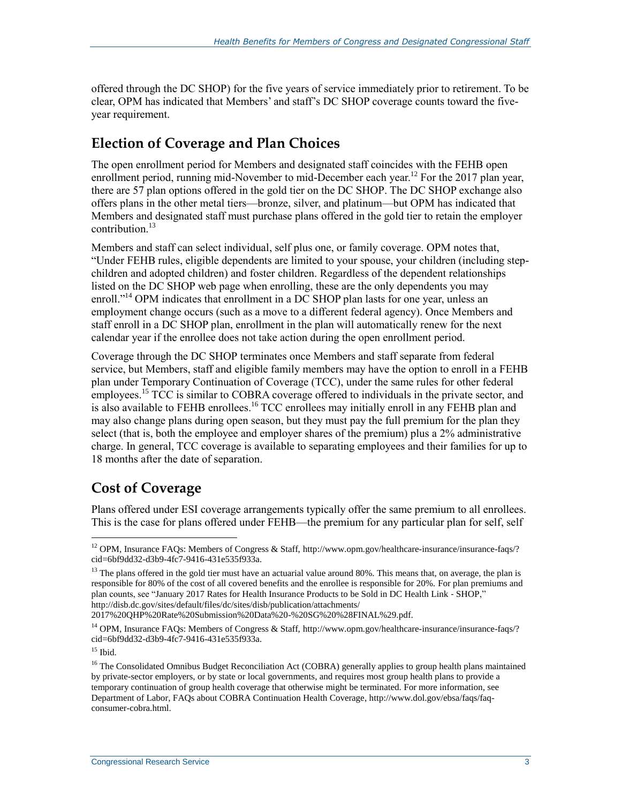offered through the DC SHOP) for the five years of service immediately prior to retirement. To be clear, OPM has indicated that Members' and staff's DC SHOP coverage counts toward the fiveyear requirement.

### **Election of Coverage and Plan Choices**

The open enrollment period for Members and designated staff coincides with the FEHB open enrollment period, running mid-November to mid-December each year.<sup>12</sup> For the 2017 plan year, there are 57 plan options offered in the gold tier on the DC SHOP. The DC SHOP exchange also offers plans in the other metal tiers—bronze, silver, and platinum—but OPM has indicated that Members and designated staff must purchase plans offered in the gold tier to retain the employer contribution. $^{13}$ 

Members and staff can select individual, self plus one, or family coverage. OPM notes that, "Under FEHB rules, eligible dependents are limited to your spouse, your children (including stepchildren and adopted children) and foster children. Regardless of the dependent relationships listed on the DC SHOP web page when enrolling, these are the only dependents you may enroll."<sup>14</sup> OPM indicates that enrollment in a DC SHOP plan lasts for one year, unless an employment change occurs (such as a move to a different federal agency). Once Members and staff enroll in a DC SHOP plan, enrollment in the plan will automatically renew for the next calendar year if the enrollee does not take action during the open enrollment period.

Coverage through the DC SHOP terminates once Members and staff separate from federal service, but Members, staff and eligible family members may have the option to enroll in a FEHB plan under Temporary Continuation of Coverage (TCC), under the same rules for other federal employees.<sup>15</sup> TCC is similar to COBRA coverage offered to individuals in the private sector, and is also available to FEHB enrollees.<sup>16</sup> TCC enrollees may initially enroll in any FEHB plan and may also change plans during open season, but they must pay the full premium for the plan they select (that is, both the employee and employer shares of the premium) plus a 2% administrative charge. In general, TCC coverage is available to separating employees and their families for up to 18 months after the date of separation.

### **Cost of Coverage**

Plans offered under ESI coverage arrangements typically offer the same premium to all enrollees. This is the case for plans offered under FEHB—the premium for any particular plan for self, self

2017%20QHP%20Rate%20Submission%20Data%20-%20SG%20%28FINAL%29.pdf.

<sup>&</sup>lt;sup>12</sup> OPM, Insurance FAOs: Members of Congress & Staff, http://www.opm.gov/healthcare-insurance/insurance-faqs/? cid=6bf9dd32-d3b9-4fc7-9416-431e535f933a.

 $13$  The plans offered in the gold tier must have an actuarial value around 80%. This means that, on average, the plan is responsible for 80% of the cost of all covered benefits and the enrollee is responsible for 20%. For plan premiums and plan counts, see "January 2017 Rates for Health Insurance Products to be Sold in DC Health Link ‐ SHOP," http://disb.dc.gov/sites/default/files/dc/sites/disb/publication/attachments/

<sup>14</sup> OPM, Insurance FAQs: Members of Congress & Staff, http://www.opm.gov/healthcare-insurance/insurance-faqs/? cid=6bf9dd32-d3b9-4fc7-9416-431e535f933a.

 $15$  Ibid.

<sup>&</sup>lt;sup>16</sup> The Consolidated Omnibus Budget Reconciliation Act (COBRA) generally applies to group health plans maintained by private-sector employers, or by state or local governments, and requires most group health plans to provide a temporary continuation of group health coverage that otherwise might be terminated. For more information, see Department of Labor, FAQs about COBRA Continuation Health Coverage, http://www.dol.gov/ebsa/faqs/faqconsumer-cobra.html.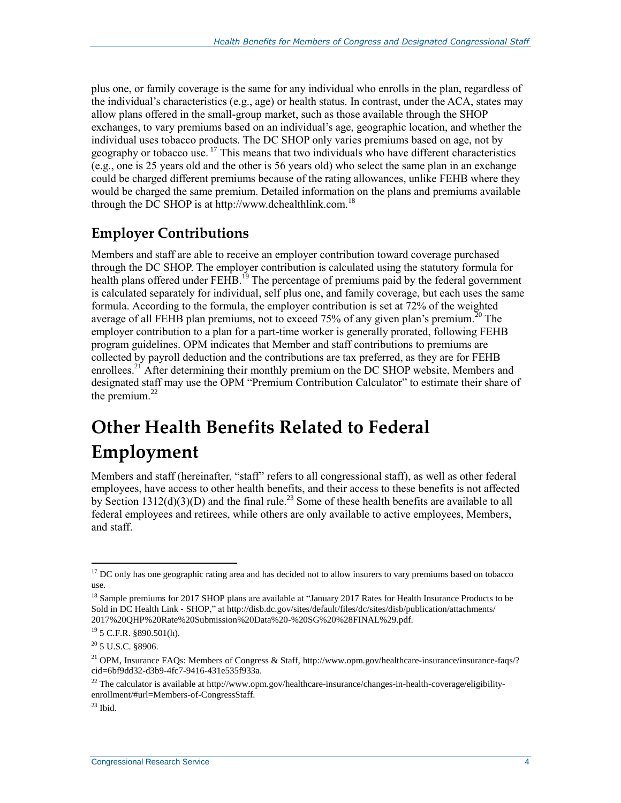plus one, or family coverage is the same for any individual who enrolls in the plan, regardless of the individual's characteristics (e.g., age) or health status. In contrast, under the ACA, states may allow plans offered in the small-group market, such as those available through the SHOP exchanges, to vary premiums based on an individual's age, geographic location, and whether the individual uses tobacco products. The DC SHOP only varies premiums based on age, not by geography or tobacco use.  $^{17}$  This means that two individuals who have different characteristics (e.g., one is 25 years old and the other is 56 years old) who select the same plan in an exchange could be charged different premiums because of the rating allowances, unlike FEHB where they would be charged the same premium. Detailed information on the plans and premiums available through the DC SHOP is at http://www.dchealthlink.com.<sup>18</sup>

### **Employer Contributions**

Members and staff are able to receive an employer contribution toward coverage purchased through the DC SHOP. The employer contribution is calculated using the statutory formula for health plans offered under FEHB.<sup>19</sup> The percentage of premiums paid by the federal government is calculated separately for individual, self plus one, and family coverage, but each uses the same formula. According to the formula, the employer contribution is set at 72% of the weighted average of all FEHB plan premiums, not to exceed  $75\%$  of any given plan's premium.<sup>20</sup> The employer contribution to a plan for a part-time worker is generally prorated, following FEHB program guidelines. OPM indicates that Member and staff contributions to premiums are collected by payroll deduction and the contributions are tax preferred, as they are for FEHB enrollees.<sup>21</sup> After determining their monthly premium on the DC SHOP website, Members and designated staff may use the OPM "Premium Contribution Calculator" to estimate their share of the premium. $^{22}$ 

### **Other Health Benefits Related to Federal Employment**

Members and staff (hereinafter, "staff" refers to all congressional staff), as well as other federal employees, have access to other health benefits, and their access to these benefits is not affected by Section 1312(d)(3)(D) and the final rule.<sup>23</sup> Some of these health benefits are available to all federal employees and retirees, while others are only available to active employees, Members, and staff.

 $17$  DC only has one geographic rating area and has decided not to allow insurers to vary premiums based on tobacco use.

<sup>&</sup>lt;sup>18</sup> Sample premiums for 2017 SHOP plans are available at "January 2017 Rates for Health Insurance Products to be Sold in DC Health Link ‐ SHOP," at http://disb.dc.gov/sites/default/files/dc/sites/disb/publication/attachments/ 2017%20QHP%20Rate%20Submission%20Data%20-%20SG%20%28FINAL%29.pdf.

<sup>19</sup> 5 C.F.R. §890.501(h).

 $20$  5 U.S.C. §8906.

<sup>&</sup>lt;sup>21</sup> OPM, Insurance FAQs: Members of Congress & Staff, http://www.opm.gov/healthcare-insurance/insurance-faqs/? cid=6bf9dd32-d3b9-4fc7-9416-431e535f933a.

 $22$  The calculator is available at http://www.opm.gov/healthcare-insurance/changes-in-health-coverage/eligibilityenrollment/#url=Members-of-CongressStaff.

 $^{23}$  Ibid.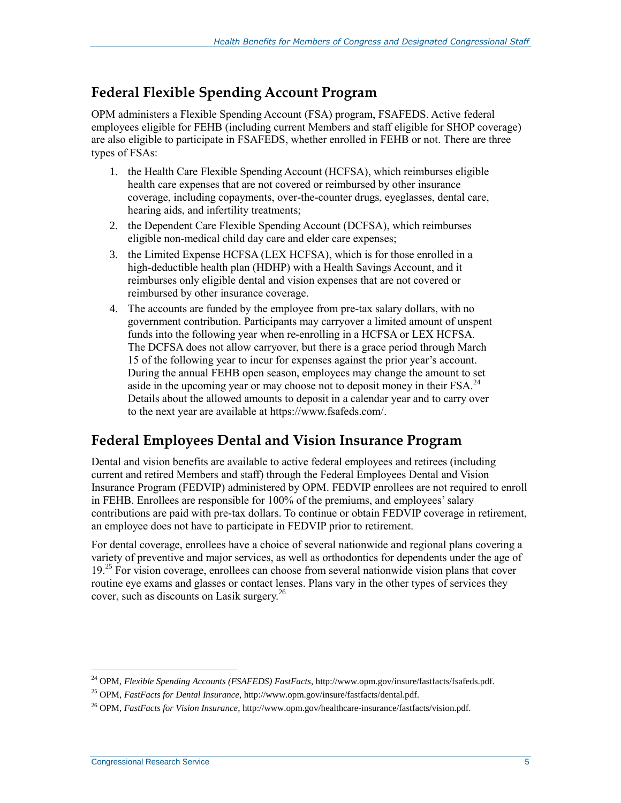#### **Federal Flexible Spending Account Program**

OPM administers a Flexible Spending Account (FSA) program, FSAFEDS. Active federal employees eligible for FEHB (including current Members and staff eligible for SHOP coverage) are also eligible to participate in FSAFEDS, whether enrolled in FEHB or not. There are three types of FSAs:

- 1. the Health Care Flexible Spending Account (HCFSA), which reimburses eligible health care expenses that are not covered or reimbursed by other insurance coverage, including copayments, over-the-counter drugs, eyeglasses, dental care, hearing aids, and infertility treatments;
- 2. the Dependent Care Flexible Spending Account (DCFSA), which reimburses eligible non-medical child day care and elder care expenses;
- 3. the Limited Expense HCFSA (LEX HCFSA), which is for those enrolled in a high-deductible health plan (HDHP) with a Health Savings Account, and it reimburses only eligible dental and vision expenses that are not covered or reimbursed by other insurance coverage.
- 4. The accounts are funded by the employee from pre-tax salary dollars, with no government contribution. Participants may carryover a limited amount of unspent funds into the following year when re-enrolling in a HCFSA or LEX HCFSA. The DCFSA does not allow carryover, but there is a grace period through March 15 of the following year to incur for expenses against the prior year's account. During the annual FEHB open season, employees may change the amount to set aside in the upcoming year or may choose not to deposit money in their  $FSA.<sup>24</sup>$ Details about the allowed amounts to deposit in a calendar year and to carry over to the next year are available at https://www.fsafeds.com/.

### **Federal Employees Dental and Vision Insurance Program**

Dental and vision benefits are available to active federal employees and retirees (including current and retired Members and staff) through the Federal Employees Dental and Vision Insurance Program (FEDVIP) administered by OPM. FEDVIP enrollees are not required to enroll in FEHB. Enrollees are responsible for 100% of the premiums, and employees' salary contributions are paid with pre-tax dollars. To continue or obtain FEDVIP coverage in retirement, an employee does not have to participate in FEDVIP prior to retirement.

For dental coverage, enrollees have a choice of several nationwide and regional plans covering a variety of preventive and major services, as well as orthodontics for dependents under the age of 19.<sup>25</sup> For vision coverage, enrollees can choose from several nationwide vision plans that cover routine eye exams and glasses or contact lenses. Plans vary in the other types of services they cover, such as discounts on Lasik surgery.<sup>26</sup>

<sup>24</sup> OPM, *Flexible Spending Accounts (FSAFEDS) FastFacts*, http://www.opm.gov/insure/fastfacts/fsafeds.pdf.

<sup>25</sup> OPM, *FastFacts for Dental Insurance*, http://www.opm.gov/insure/fastfacts/dental.pdf.

<sup>26</sup> OPM, *FastFacts for Vision Insurance*, http://www.opm.gov/healthcare-insurance/fastfacts/vision.pdf.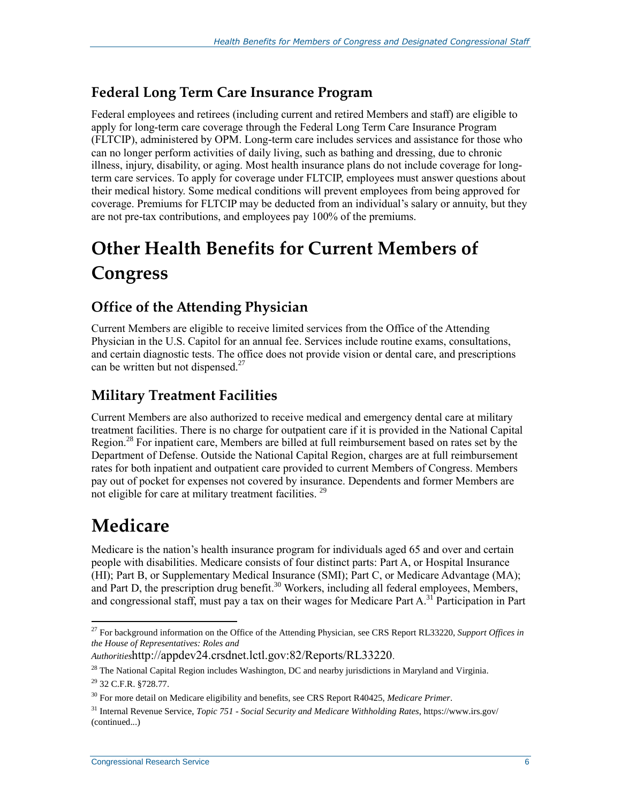#### **Federal Long Term Care Insurance Program**

Federal employees and retirees (including current and retired Members and staff) are eligible to apply for long-term care coverage through the Federal Long Term Care Insurance Program (FLTCIP), administered by OPM. Long-term care includes services and assistance for those who can no longer perform activities of daily living, such as bathing and dressing, due to chronic illness, injury, disability, or aging. Most health insurance plans do not include coverage for longterm care services. To apply for coverage under FLTCIP, employees must answer questions about their medical history. Some medical conditions will prevent employees from being approved for coverage. Premiums for FLTCIP may be deducted from an individual's salary or annuity, but they are not pre-tax contributions, and employees pay 100% of the premiums.

## **Other Health Benefits for Current Members of Congress**

### **Office of the Attending Physician**

Current Members are eligible to receive limited services from the Office of the Attending Physician in the U.S. Capitol for an annual fee. Services include routine exams, consultations, and certain diagnostic tests. The office does not provide vision or dental care, and prescriptions can be written but not dispensed.<sup>27</sup>

### **Military Treatment Facilities**

Current Members are also authorized to receive medical and emergency dental care at military treatment facilities. There is no charge for outpatient care if it is provided in the National Capital Region.<sup>28</sup> For inpatient care, Members are billed at full reimbursement based on rates set by the Department of Defense. Outside the National Capital Region, charges are at full reimbursement rates for both inpatient and outpatient care provided to current Members of Congress. Members pay out of pocket for expenses not covered by insurance. Dependents and former Members are not eligible for care at military treatment facilities.<sup>29</sup>

### **Medicare**

Medicare is the nation's health insurance program for individuals aged 65 and over and certain people with disabilities. Medicare consists of four distinct parts: Part A, or Hospital Insurance (HI); Part B, or Supplementary Medical Insurance (SMI); Part C, or Medicare Advantage (MA); and Part D, the prescription drug benefit.<sup>30</sup> Workers, including all federal employees, Members, and congressional staff, must pay a tax on their wages for Medicare Part A.<sup>31</sup> Participation in Part

<sup>27</sup> For background information on the Office of the Attending Physician, see CRS Report RL33220, *Support Offices in the House of Representatives: Roles and* 

*Authorities*http://appdev24.crsdnet.lctl.gov:82/Reports/RL33220.

 $^{28}$  The National Capital Region includes Washington, DC and nearby jurisdictions in Maryland and Virginia.

<sup>29</sup> 32 C.F.R. §728.77.

<sup>30</sup> For more detail on Medicare eligibility and benefits, see CRS Report R40425, *Medicare Primer*.

<sup>31</sup> Internal Revenue Service, *Topic 751 - Social Security and Medicare Withholding Rates*, https://www.irs.gov/ (continued...)